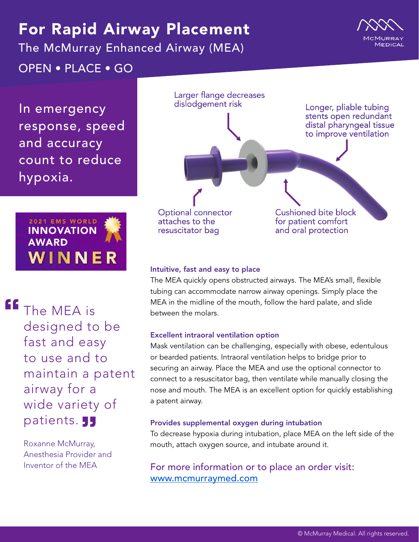## For Rapid Airway Placement

The McMurray Enhanced Airway (MEA)

OPEN • PLACE • GO

In emergency response, speed and accuracy count to reduce hypoxia.



The MEA is designed to be fast and easy to use and to maintain a patent airway for a wide variety of patients. **JJ**<br>Roxanne McMurray. **"**

Roxanne McMurray, Anesthesia Provider and Inventor of the MEA



### Intuitive, fast and easy to place

The MEA quickly opens obstructed airways. The MEA's small, flexible tubing can accommodate narrow airway openings. Simply place the MEA in the midline of the mouth, follow the hard palate, and slide between the molars.

### Excellent intraoral ventilation option

Mask ventilation can be challenging, especially with obese, edentulous or bearded patients. Intraoral ventilation helps to bridge prior to securing an airway. Place the MEA and use the optional connector to connect to a resuscitator bag, then ventilate while manually closing the nose and mouth. The MEA is an excellent option for quickly establishing a patent airway.

### Provides supplemental oxygen during intubation

To decrease hypoxia during intubation, place MEA on the left side of the mouth, attach oxygen source, and intubate around it.

For more information or to place an order visit: www.mcmurraymed.com